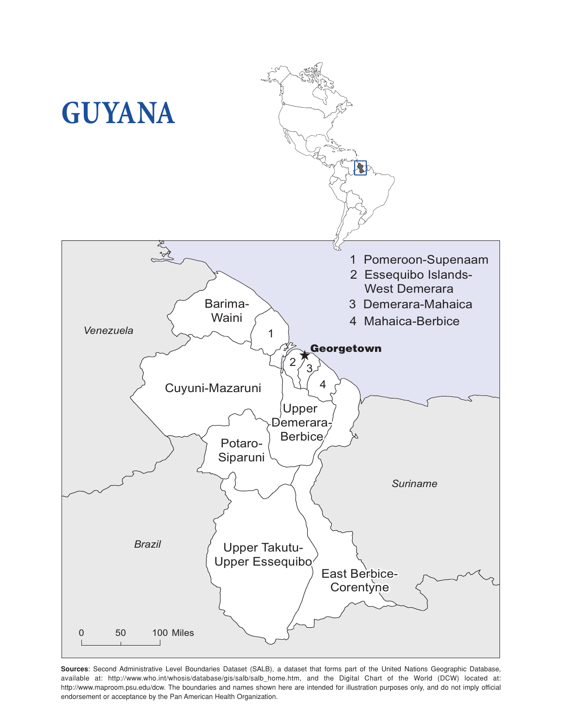

**Sources**: Second Administrative Level Boundaries Dataset (SALB), a dataset that forms part of the United Nations Geographic Database, available at: http://www.who.int/whosis/database/gis/salb/salb\_home.htm, and the Digital Chart of the World (DCW) located at: http://www.maproom.psu.edu/dcw. The boundaries and names shown here are intended for illustration purposes only, and do not imply official endorsement or acceptance by the Pan American Health Organization.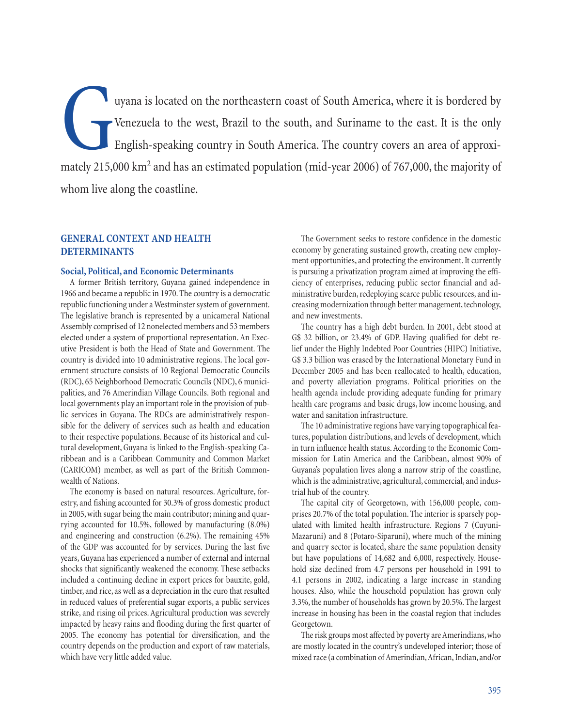I uyana is located on the northeastern coast of South America, where it is bordered by<br>Venezuela to the west, Brazil to the south, and Suriname to the east. It is the only<br>English-speaking country in South America. The cou Venezuela to the west, Brazil to the south, and Suriname to the east. It is the only English-speaking country in South America. The country covers an area of approximately 215,000 km<sup>2</sup> and has an estimated population (mid-year 2006) of 767,000, the majority of whom live along the coastline.

# **GENERAL CONTEXT AND HEALTH DETERMINANTS**

## **Social, Political, and Economic Determinants**

A former British territory, Guyana gained independence in 1966 and became a republic in 1970. The country is a democratic republic functioning under a Westminster system of government. The legislative branch is represented by a unicameral National Assembly comprised of 12 nonelected members and 53 members elected under a system of proportional representation. An Executive President is both the Head of State and Government. The country is divided into 10 administrative regions. The local government structure consists of 10 Regional Democratic Councils (RDC), 65 Neighborhood Democratic Councils (NDC), 6 municipalities, and 76 Amerindian Village Councils. Both regional and local governments play an important role in the provision of public services in Guyana. The RDCs are administratively responsible for the delivery of services such as health and education to their respective populations. Because of its historical and cultural development, Guyana is linked to the English-speaking Caribbean and is a Caribbean Community and Common Market (CARICOM) member, as well as part of the British Commonwealth of Nations.

The economy is based on natural resources. Agriculture, forestry, and fishing accounted for 30.3% of gross domestic product in 2005, with sugar being the main contributor; mining and quarrying accounted for 10.5%, followed by manufacturing (8.0%) and engineering and construction (6.2%). The remaining 45% of the GDP was accounted for by services. During the last five years, Guyana has experienced a number of external and internal shocks that significantly weakened the economy. These setbacks included a continuing decline in export prices for bauxite, gold, timber, and rice, as well as a depreciation in the euro that resulted in reduced values of preferential sugar exports, a public services strike, and rising oil prices. Agricultural production was severely impacted by heavy rains and flooding during the first quarter of 2005. The economy has potential for diversification, and the country depends on the production and export of raw materials, which have very little added value.

The Government seeks to restore confidence in the domestic economy by generating sustained growth, creating new employment opportunities, and protecting the environment. It currently is pursuing a privatization program aimed at improving the efficiency of enterprises, reducing public sector financial and administrative burden, redeploying scarce public resources, and increasing modernization through better management, technology, and new investments.

The country has a high debt burden. In 2001, debt stood at G\$ 32 billion, or 23.4% of GDP. Having qualified for debt relief under the Highly Indebted Poor Countries (HIPC) Initiative, G\$ 3.3 billion was erased by the International Monetary Fund in December 2005 and has been reallocated to health, education, and poverty alleviation programs. Political priorities on the health agenda include providing adequate funding for primary health care programs and basic drugs, low income housing, and water and sanitation infrastructure.

The 10 administrative regions have varying topographical features, population distributions, and levels of development, which in turn influence health status. According to the Economic Commission for Latin America and the Caribbean, almost 90% of Guyana's population lives along a narrow strip of the coastline, which is the administrative, agricultural, commercial, and industrial hub of the country.

The capital city of Georgetown, with 156,000 people, comprises 20.7% of the total population. The interior is sparsely populated with limited health infrastructure. Regions 7 (Cuyuni-Mazaruni) and 8 (Potaro-Siparuni), where much of the mining and quarry sector is located, share the same population density but have populations of 14,682 and 6,000, respectively. Household size declined from 4.7 persons per household in 1991 to 4.1 persons in 2002, indicating a large increase in standing houses. Also, while the household population has grown only 3.3%, the number of households has grown by 20.5%. The largest increase in housing has been in the coastal region that includes Georgetown.

The risk groups most affected by poverty are Amerindians, who are mostly located in the country's undeveloped interior; those of mixed race (a combination of Amerindian, African, Indian,and/or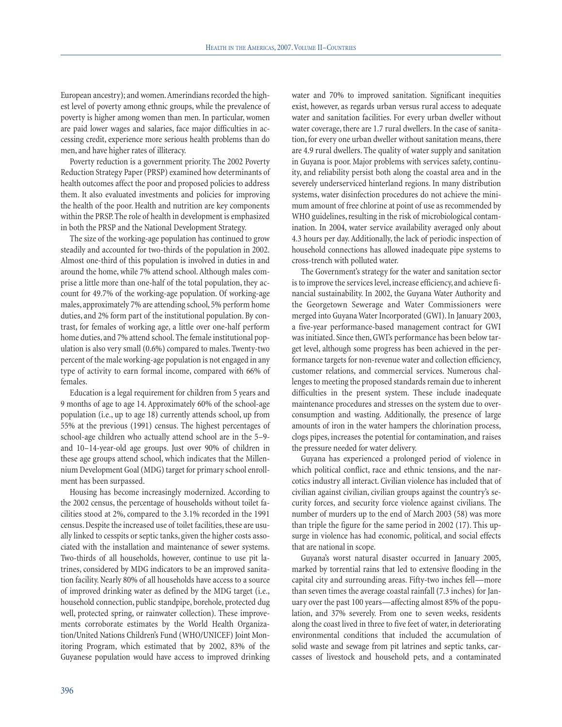European ancestry); and women.Amerindians recorded the highest level of poverty among ethnic groups, while the prevalence of poverty is higher among women than men. In particular, women are paid lower wages and salaries, face major difficulties in accessing credit, experience more serious health problems than do men, and have higher rates of illiteracy.

Poverty reduction is a government priority. The 2002 Poverty Reduction Strategy Paper (PRSP) examined how determinants of health outcomes affect the poor and proposed policies to address them. It also evaluated investments and policies for improving the health of the poor. Health and nutrition are key components within the PRSP. The role of health in development is emphasized in both the PRSP and the National Development Strategy.

The size of the working-age population has continued to grow steadily and accounted for two-thirds of the population in 2002. Almost one-third of this population is involved in duties in and around the home, while 7% attend school. Although males comprise a little more than one-half of the total population, they account for 49.7% of the working-age population. Of working-age males, approximately 7% are attending school, 5% perform home duties, and 2% form part of the institutional population. By contrast, for females of working age, a little over one-half perform home duties, and 7% attend school. The female institutional population is also very small (0.6%) compared to males. Twenty-two percent of the male working-age population is not engaged in any type of activity to earn formal income, compared with 66% of females.

Education is a legal requirement for children from 5 years and 9 months of age to age 14. Approximately 60% of the school-age population (i.e., up to age 18) currently attends school, up from 55% at the previous (1991) census. The highest percentages of school-age children who actually attend school are in the 5–9 and 10–14-year-old age groups. Just over 90% of children in these age groups attend school, which indicates that the Millennium Development Goal (MDG) target for primary school enrollment has been surpassed.

Housing has become increasingly modernized. According to the 2002 census, the percentage of households without toilet facilities stood at 2%, compared to the 3.1% recorded in the 1991 census. Despite the increased use of toilet facilities, these are usually linked to cesspits or septic tanks, given the higher costs associated with the installation and maintenance of sewer systems. Two-thirds of all households, however, continue to use pit latrines, considered by MDG indicators to be an improved sanitation facility. Nearly 80% of all households have access to a source of improved drinking water as defined by the MDG target (i.e., household connection, public standpipe, borehole, protected dug well, protected spring, or rainwater collection). These improvements corroborate estimates by the World Health Organization/United Nations Children's Fund (WHO/UNICEF) Joint Monitoring Program, which estimated that by 2002, 83% of the Guyanese population would have access to improved drinking water and 70% to improved sanitation. Significant inequities exist, however, as regards urban versus rural access to adequate water and sanitation facilities. For every urban dweller without water coverage, there are 1.7 rural dwellers. In the case of sanitation, for every one urban dweller without sanitation means, there are 4.9 rural dwellers. The quality of water supply and sanitation in Guyana is poor. Major problems with services safety, continuity, and reliability persist both along the coastal area and in the severely underserviced hinterland regions. In many distribution systems, water disinfection procedures do not achieve the minimum amount of free chlorine at point of use as recommended by WHO guidelines, resulting in the risk of microbiological contamination. In 2004, water service availability averaged only about 4.3 hours per day. Additionally, the lack of periodic inspection of household connections has allowed inadequate pipe systems to cross-trench with polluted water.

The Government's strategy for the water and sanitation sector is to improve the services level, increase efficiency, and achieve financial sustainability. In 2002, the Guyana Water Authority and the Georgetown Sewerage and Water Commissioners were merged into Guyana Water Incorporated (GWI). In January 2003, a five-year performance-based management contract for GWI was initiated. Since then, GWI's performance has been below target level, although some progress has been achieved in the performance targets for non-revenue water and collection efficiency, customer relations, and commercial services. Numerous challenges to meeting the proposed standards remain due to inherent difficulties in the present system. These include inadequate maintenance procedures and stresses on the system due to overconsumption and wasting. Additionally, the presence of large amounts of iron in the water hampers the chlorination process, clogs pipes, increases the potential for contamination, and raises the pressure needed for water delivery.

Guyana has experienced a prolonged period of violence in which political conflict, race and ethnic tensions, and the narcotics industry all interact. Civilian violence has included that of civilian against civilian, civilian groups against the country's security forces, and security force violence against civilians. The number of murders up to the end of March 2003 (58) was more than triple the figure for the same period in 2002 (17). This upsurge in violence has had economic, political, and social effects that are national in scope.

Guyana's worst natural disaster occurred in January 2005, marked by torrential rains that led to extensive flooding in the capital city and surrounding areas. Fifty-two inches fell—more than seven times the average coastal rainfall (7.3 inches) for January over the past 100 years—affecting almost 85% of the population, and 37% severely. From one to seven weeks, residents along the coast lived in three to five feet of water, in deteriorating environmental conditions that included the accumulation of solid waste and sewage from pit latrines and septic tanks, carcasses of livestock and household pets, and a contaminated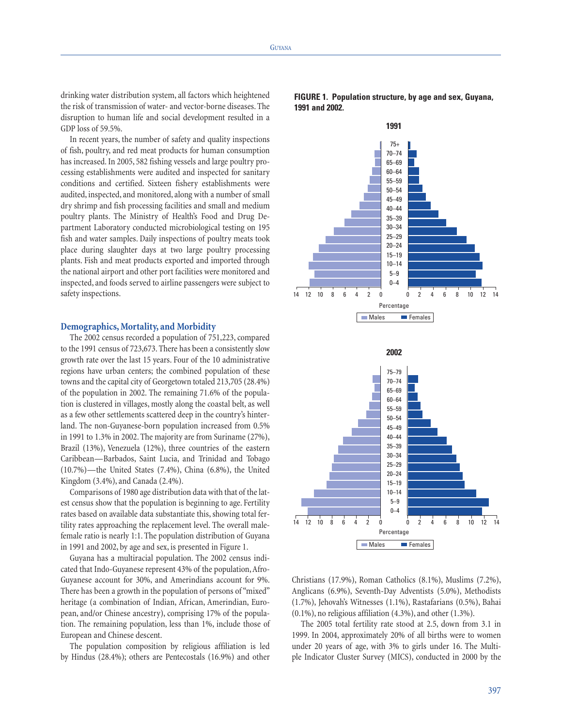drinking water distribution system, all factors which heightened the risk of transmission of water- and vector-borne diseases. The disruption to human life and social development resulted in a GDP loss of 59.5%.

In recent years, the number of safety and quality inspections of fish, poultry, and red meat products for human consumption has increased. In 2005, 582 fishing vessels and large poultry processing establishments were audited and inspected for sanitary conditions and certified. Sixteen fishery establishments were audited, inspected, and monitored, along with a number of small dry shrimp and fish processing facilities and small and medium poultry plants. The Ministry of Health's Food and Drug Department Laboratory conducted microbiological testing on 195 fish and water samples. Daily inspections of poultry meats took place during slaughter days at two large poultry processing plants. Fish and meat products exported and imported through the national airport and other port facilities were monitored and inspected, and foods served to airline passengers were subject to safety inspections.

#### **Demographics, Mortality, and Morbidity**

The 2002 census recorded a population of 751,223, compared to the 1991 census of 723,673. There has been a consistently slow growth rate over the last 15 years. Four of the 10 administrative regions have urban centers; the combined population of these towns and the capital city of Georgetown totaled 213,705 (28.4%) of the population in 2002. The remaining 71.6% of the population is clustered in villages, mostly along the coastal belt, as well as a few other settlements scattered deep in the country's hinterland. The non-Guyanese-born population increased from 0.5% in 1991 to 1.3% in 2002. The majority are from Suriname (27%), Brazil (13%), Venezuela (12%), three countries of the eastern Caribbean—Barbados, Saint Lucia, and Trinidad and Tobago (10.7%)—the United States (7.4%), China (6.8%), the United Kingdom (3.4%), and Canada (2.4%).

Comparisons of 1980 age distribution data with that of the latest census show that the population is beginning to age. Fertility rates based on available data substantiate this, showing total fertility rates approaching the replacement level. The overall malefemale ratio is nearly 1:1. The population distribution of Guyana in 1991 and 2002, by age and sex, is presented in Figure 1.

Guyana has a multiracial population. The 2002 census indicated that Indo-Guyanese represent 43% of the population, Afro-Guyanese account for 30%, and Amerindians account for 9%. There has been a growth in the population of persons of "mixed" heritage (a combination of Indian, African, Amerindian, European, and/or Chinese ancestry), comprising 17% of the population. The remaining population, less than 1%, include those of European and Chinese descent.

The population composition by religious affiliation is led by Hindus (28.4%); others are Pentecostals (16.9%) and other





Christians (17.9%), Roman Catholics (8.1%), Muslims (7.2%), Anglicans (6.9%), Seventh-Day Adventists (5.0%), Methodists (1.7%), Jehovah's Witnesses (1.1%), Rastafarians (0.5%), Bahai (0.1%), no religious affiliation (4.3%), and other (1.3%).

The 2005 total fertility rate stood at 2.5, down from 3.1 in 1999. In 2004, approximately 20% of all births were to women under 20 years of age, with 3% to girls under 16. The Multiple Indicator Cluster Survey (MICS), conducted in 2000 by the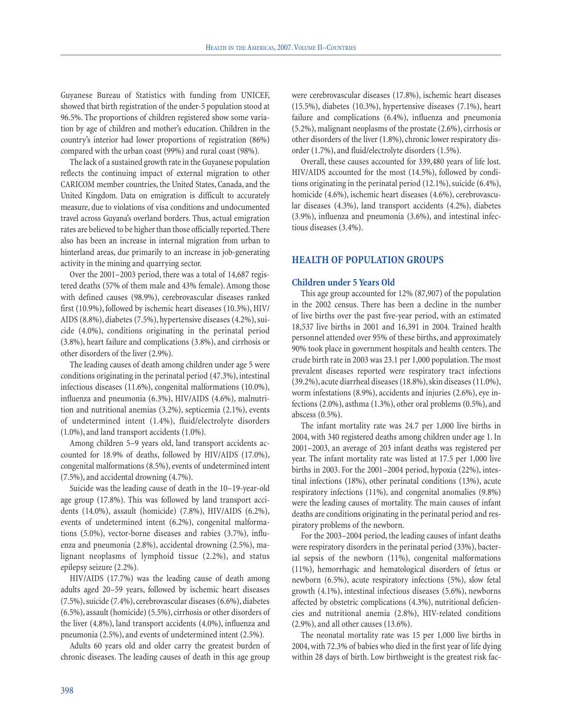Guyanese Bureau of Statistics with funding from UNICEF, showed that birth registration of the under-5 population stood at 96.5%. The proportions of children registered show some variation by age of children and mother's education. Children in the country's interior had lower proportions of registration (86%) compared with the urban coast (99%) and rural coast (98%).

The lack of a sustained growth rate in the Guyanese population reflects the continuing impact of external migration to other CARICOM member countries, the United States, Canada, and the United Kingdom. Data on emigration is difficult to accurately measure, due to violations of visa conditions and undocumented travel across Guyana's overland borders. Thus, actual emigration rates are believed to be higher than those officially reported. There also has been an increase in internal migration from urban to hinterland areas, due primarily to an increase in job-generating activity in the mining and quarrying sector.

Over the 2001–2003 period, there was a total of 14,687 registered deaths (57% of them male and 43% female). Among those with defined causes (98.9%), cerebrovascular diseases ranked first (10.9%), followed by ischemic heart diseases (10.3%), HIV/ AIDS (8.8%), diabetes (7.5%), hypertensive diseases (4.2%), suicide (4.0%), conditions originating in the perinatal period (3.8%), heart failure and complications (3.8%), and cirrhosis or other disorders of the liver (2.9%).

The leading causes of death among children under age 5 were conditions originating in the perinatal period (47.3%), intestinal infectious diseases (11.6%), congenital malformations (10.0%), influenza and pneumonia (6.3%), HIV/AIDS (4.6%), malnutrition and nutritional anemias (3.2%), septicemia (2.1%), events of undetermined intent (1.4%), fluid/electrolyte disorders (1.0%), and land transport accidents (1.0%).

Among children 5–9 years old, land transport accidents accounted for 18.9% of deaths, followed by HIV/AIDS (17.0%), congenital malformations (8.5%), events of undetermined intent (7.5%), and accidental drowning (4.7%).

Suicide was the leading cause of death in the 10–19-year-old age group (17.8%). This was followed by land transport accidents (14.0%), assault (homicide) (7.8%), HIV/AIDS (6.2%), events of undetermined intent (6.2%), congenital malformations (5.0%), vector-borne diseases and rabies (3.7%), influenza and pneumonia (2.8%), accidental drowning (2.5%), malignant neoplasms of lymphoid tissue (2.2%), and status epilepsy seizure (2.2%).

HIV/AIDS (17.7%) was the leading cause of death among adults aged 20–59 years, followed by ischemic heart diseases (7.5%), suicide (7.4%), cerebrovascular diseases (6.6%), diabetes (6.5%), assault (homicide) (5.5%), cirrhosis or other disorders of the liver (4.8%), land transport accidents (4.0%), influenza and pneumonia (2.5%), and events of undetermined intent (2.5%).

Adults 60 years old and older carry the greatest burden of chronic diseases. The leading causes of death in this age group

were cerebrovascular diseases (17.8%), ischemic heart diseases (15.5%), diabetes (10.3%), hypertensive diseases (7.1%), heart failure and complications (6.4%), influenza and pneumonia (5.2%), malignant neoplasms of the prostate (2.6%), cirrhosis or other disorders of the liver (1.8%), chronic lower respiratory disorder (1.7%), and fluid/electrolyte disorders (1.5%).

Overall, these causes accounted for 339,480 years of life lost. HIV/AIDS accounted for the most (14.5%), followed by conditions originating in the perinatal period (12.1%), suicide (6.4%), homicide (4.6%), ischemic heart diseases (4.6%), cerebrovascular diseases (4.3%), land transport accidents (4.2%), diabetes (3.9%), influenza and pneumonia (3.6%), and intestinal infectious diseases (3.4%).

## **HEALTH OF POPULATION GROUPS**

## **Children under 5 Years Old**

This age group accounted for 12% (87,907) of the population in the 2002 census. There has been a decline in the number of live births over the past five-year period, with an estimated 18,537 live births in 2001 and 16,391 in 2004. Trained health personnel attended over 95% of these births, and approximately 90% took place in government hospitals and health centers. The crude birth rate in 2003 was 23.1 per 1,000 population. The most prevalent diseases reported were respiratory tract infections (39.2%), acute diarrheal diseases (18.8%), skin diseases (11.0%), worm infestations (8.9%), accidents and injuries (2.6%), eye infections (2.0%), asthma (1.3%), other oral problems (0.5%), and abscess (0.5%).

The infant mortality rate was 24.7 per 1,000 live births in 2004, with 340 registered deaths among children under age 1. In 2001–2003, an average of 203 infant deaths was registered per year. The infant mortality rate was listed at 17.5 per 1,000 live births in 2003. For the 2001–2004 period, hypoxia (22%), intestinal infections (18%), other perinatal conditions (13%), acute respiratory infections (11%), and congenital anomalies (9.8%) were the leading causes of mortality. The main causes of infant deaths are conditions originating in the perinatal period and respiratory problems of the newborn.

For the 2003–2004 period, the leading causes of infant deaths were respiratory disorders in the perinatal period (33%), bacterial sepsis of the newborn (11%), congenital malformations (11%), hemorrhagic and hematological disorders of fetus or newborn (6.5%), acute respiratory infections (5%), slow fetal growth (4.1%), intestinal infectious diseases (5.6%), newborns affected by obstetric complications (4.3%), nutritional deficiencies and nutritional anemia (2.8%), HIV-related conditions (2.9%), and all other causes (13.6%).

The neonatal mortality rate was 15 per 1,000 live births in 2004, with 72.3% of babies who died in the first year of life dying within 28 days of birth. Low birthweight is the greatest risk fac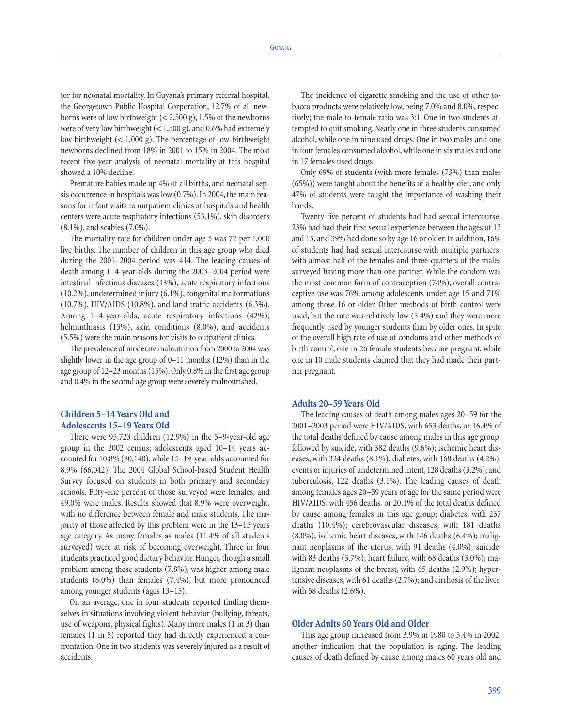tor for neonatal mortality. In Guyana's primary referral hospital, the Georgetown Public Hospital Corporation, 12.7% of all newborns were of low birthweight  $(< 2,500 \text{ g})$ , 1.5% of the newborns were of very low birthweight (< 1,500 g), and 0.6% had extremely low birthweight (< 1,000 g). The percentage of low-birthweight newborns declined from 18% in 2001 to 15% in 2004. The most recent five-year analysis of neonatal mortality at this hospital showed a 10% decline.

Premature babies made up 4% of all births, and neonatal sepsis occurrence in hospitals was low (0.7%). In 2004, the main reasons for infant visits to outpatient clinics at hospitals and health centers were acute respiratory infections (53.1%), skin disorders (8.1%), and scabies (7.0%).

The mortality rate for children under age 5 was 72 per 1,000 live births. The number of children in this age group who died during the 2001–2004 period was 414. The leading causes of death among 1–4-year-olds during the 2003–2004 period were intestinal infectious diseases (13%), acute respiratory infections (10.2%), undetermined injury (6.1%), congenital malformations (10.7%), HIV/AIDS (10.8%), and land traffic accidents (6.3%). Among 1–4-year-olds, acute respiratory infections (42%), helminthiasis (13%), skin conditions (8.0%), and accidents (5.5%) were the main reasons for visits to outpatient clinics.

The prevalence of moderate malnutrition from 2000 to 2004 was slightly lower in the age group of 0–11 months (12%) than in the age group of 12–23 months (15%). Only 0.8% in the first age group and 0.4% in the second age group were severely malnourished.

# **Children 5–14 Years Old and Adolescents 15–19 Years Old**

There were 95,723 children (12.9%) in the 5–9-year-old age group in the 2002 census; adolescents aged 10–14 years accounted for 10.8% (80,140), while 15–19-year-olds accounted for 8.9% (66,042). The 2004 Global School-based Student Health Survey focused on students in both primary and secondary schools. Fifty-one percent of those surveyed were females, and 49.0% were males. Results showed that 8.9% were overweight, with no difference between female and male students. The majority of those affected by this problem were in the 13–15 years age category. As many females as males (11.4% of all students surveyed) were at risk of becoming overweight. Three in four students practiced good dietary behavior. Hunger, though a small problem among these students (7.8%), was higher among male students (8.0%) than females (7.4%), but more pronounced among younger students (ages 13–15).

On an average, one in four students reported finding themselves in situations involving violent behavior (bullying, threats, use of weapons, physical fights). Many more males (1 in 3) than females (1 in 5) reported they had directly experienced a confrontation. One in two students was severely injured as a result of accidents.

The incidence of cigarette smoking and the use of other tobacco products were relatively low, being 7.0% and 8.0%, respectively; the male-to-female ratio was 3:1. One in two students attempted to quit smoking. Nearly one in three students consumed alcohol, while one in nine used drugs. One in two males and one in four females consumed alcohol, while one in six males and one in 17 females used drugs.

Only 69% of students (with more females (73%) than males (65%)) were taught about the benefits of a healthy diet, and only 47% of students were taught the importance of washing their hands.

Twenty-five percent of students had had sexual intercourse; 23% had had their first sexual experience between the ages of 13 and 15, and 39% had done so by age 16 or older. In addition, 16% of students had had sexual intercourse with multiple partners, with almost half of the females and three-quarters of the males surveyed having more than one partner. While the condom was the most common form of contraception (74%), overall contraceptive use was 76% among adolescents under age 15 and 71% among those 16 or older. Other methods of birth control were used, but the rate was relatively low (5.4%) and they were more frequently used by younger students than by older ones. In spite of the overall high rate of use of condoms and other methods of birth control, one in 26 female students became pregnant, while one in 10 male students claimed that they had made their partner pregnant.

## **Adults 20–59 Years Old**

The leading causes of death among males ages 20–59 for the 2001–2003 period were HIV/AIDS, with 653 deaths, or 16.4% of the total deaths defined by cause among males in this age group; followed by suicide, with 382 deaths (9.6%); ischemic heart diseases, with 324 deaths (8.1%); diabetes, with 168 deaths (4.2%); events or injuries of undetermined intent, 128 deaths (3.2%); and tuberculosis, 122 deaths (3.1%). The leading causes of death among females ages 20–59 years of age for the same period were HIV/AIDS, with 456 deaths, or 20.1% of the total deaths defined by cause among females in this age group; diabetes, with 237 deaths (10.4%); cerebrovascular diseases, with 181 deaths (8.0%); ischemic heart diseases, with 146 deaths (6.4%); malignant neoplasms of the uterus, with 91 deaths (4.0%); suicide, with 83 deaths (3.7%); heart failure, with 68 deaths (3.0%); malignant neoplasms of the breast, with 65 deaths (2.9%); hypertensive diseases, with 61 deaths (2.7%); and cirrhosis of the liver, with 58 deaths (2.6%).

### **Older Adults 60 Years Old and Older**

This age group increased from 3.9% in 1980 to 5.4% in 2002, another indication that the population is aging. The leading causes of death defined by cause among males 60 years old and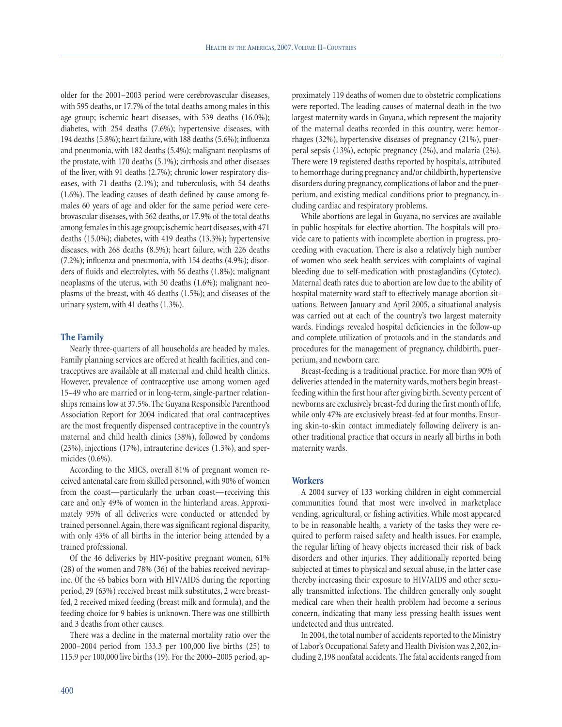older for the 2001–2003 period were cerebrovascular diseases, with 595 deaths, or 17.7% of the total deaths among males in this age group; ischemic heart diseases, with 539 deaths (16.0%); diabetes, with 254 deaths (7.6%); hypertensive diseases, with 194 deaths (5.8%); heart failure, with 188 deaths (5.6%); influenza and pneumonia, with 182 deaths (5.4%); malignant neoplasms of the prostate, with 170 deaths (5.1%); cirrhosis and other diseases of the liver, with 91 deaths (2.7%); chronic lower respiratory diseases, with 71 deaths (2.1%); and tuberculosis, with 54 deaths (1.6%). The leading causes of death defined by cause among females 60 years of age and older for the same period were cerebrovascular diseases, with 562 deaths, or 17.9% of the total deaths among females in this age group; ischemic heart diseases, with 471 deaths (15.0%); diabetes, with 419 deaths (13.3%); hypertensive diseases, with 268 deaths (8.5%); heart failure, with 226 deaths (7.2%); influenza and pneumonia, with 154 deaths (4.9%); disorders of fluids and electrolytes, with 56 deaths (1.8%); malignant neoplasms of the uterus, with 50 deaths (1.6%); malignant neoplasms of the breast, with 46 deaths (1.5%); and diseases of the urinary system, with 41 deaths (1.3%).

# **The Family**

Nearly three-quarters of all households are headed by males. Family planning services are offered at health facilities, and contraceptives are available at all maternal and child health clinics. However, prevalence of contraceptive use among women aged 15–49 who are married or in long-term, single-partner relationships remains low at 37.5%. The Guyana Responsible Parenthood Association Report for 2004 indicated that oral contraceptives are the most frequently dispensed contraceptive in the country's maternal and child health clinics (58%), followed by condoms (23%), injections (17%), intrauterine devices (1.3%), and spermicides (0.6%).

According to the MICS, overall 81% of pregnant women received antenatal care from skilled personnel, with 90% of women from the coast—particularly the urban coast—receiving this care and only 49% of women in the hinterland areas. Approximately 95% of all deliveries were conducted or attended by trained personnel.Again, there was significant regional disparity, with only 43% of all births in the interior being attended by a trained professional.

Of the 46 deliveries by HIV-positive pregnant women, 61% (28) of the women and 78% (36) of the babies received nevirapine. Of the 46 babies born with HIV/AIDS during the reporting period, 29 (63%) received breast milk substitutes, 2 were breastfed, 2 received mixed feeding (breast milk and formula), and the feeding choice for 9 babies is unknown. There was one stillbirth and 3 deaths from other causes.

There was a decline in the maternal mortality ratio over the 2000–2004 period from 133.3 per 100,000 live births (25) to 115.9 per 100,000 live births (19). For the 2000–2005 period, approximately 119 deaths of women due to obstetric complications were reported. The leading causes of maternal death in the two largest maternity wards in Guyana, which represent the majority of the maternal deaths recorded in this country, were: hemorrhages (32%), hypertensive diseases of pregnancy (21%), puerperal sepsis (13%), ectopic pregnancy (2%), and malaria (2%). There were 19 registered deaths reported by hospitals, attributed to hemorrhage during pregnancy and/or childbirth, hypertensive disorders during pregnancy, complications of labor and the puerperium, and existing medical conditions prior to pregnancy, including cardiac and respiratory problems.

While abortions are legal in Guyana, no services are available in public hospitals for elective abortion. The hospitals will provide care to patients with incomplete abortion in progress, proceeding with evacuation. There is also a relatively high number of women who seek health services with complaints of vaginal bleeding due to self-medication with prostaglandins (Cytotec). Maternal death rates due to abortion are low due to the ability of hospital maternity ward staff to effectively manage abortion situations. Between January and April 2005, a situational analysis was carried out at each of the country's two largest maternity wards. Findings revealed hospital deficiencies in the follow-up and complete utilization of protocols and in the standards and procedures for the management of pregnancy, childbirth, puerperium, and newborn care.

Breast-feeding is a traditional practice. For more than 90% of deliveries attended in the maternity wards, mothers begin breastfeeding within the first hour after giving birth. Seventy percent of newborns are exclusively breast-fed during the first month of life, while only 47% are exclusively breast-fed at four months. Ensuring skin-to-skin contact immediately following delivery is another traditional practice that occurs in nearly all births in both maternity wards.

#### **Workers**

A 2004 survey of 133 working children in eight commercial communities found that most were involved in marketplace vending, agricultural, or fishing activities. While most appeared to be in reasonable health, a variety of the tasks they were required to perform raised safety and health issues. For example, the regular lifting of heavy objects increased their risk of back disorders and other injuries. They additionally reported being subjected at times to physical and sexual abuse, in the latter case thereby increasing their exposure to HIV/AIDS and other sexually transmitted infections. The children generally only sought medical care when their health problem had become a serious concern, indicating that many less pressing health issues went undetected and thus untreated.

In 2004, the total number of accidents reported to the Ministry of Labor's Occupational Safety and Health Division was 2,202, including 2,198 nonfatal accidents. The fatal accidents ranged from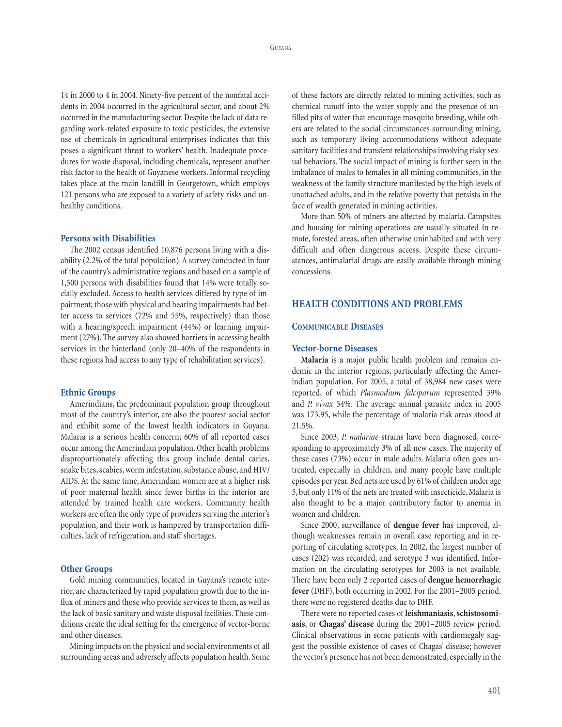14 in 2000 to 4 in 2004. Ninety-five percent of the nonfatal accidents in 2004 occurred in the agricultural sector, and about 2% occurred in the manufacturing sector. Despite the lack of data regarding work-related exposure to toxic pesticides, the extensive use of chemicals in agricultural enterprises indicates that this poses a significant threat to workers' health. Inadequate procedures for waste disposal, including chemicals, represent another risk factor to the health of Guyanese workers. Informal recycling takes place at the main landfill in Georgetown, which employs 121 persons who are exposed to a variety of safety risks and unhealthy conditions.

## **Persons with Disabilities**

The 2002 census identified 10,876 persons living with a disability (2.2% of the total population). A survey conducted in four of the country's administrative regions and based on a sample of 1,500 persons with disabilities found that 14% were totally socially excluded. Access to health services differed by type of impairment; those with physical and hearing impairments had better access to services (72% and 55%, respectively) than those with a hearing/speech impairment (44%) or learning impairment (27%). The survey also showed barriers in accessing health services in the hinterland (only 20–40% of the respondents in these regions had access to any type of rehabilitation services).

#### **Ethnic Groups**

Amerindians, the predominant population group throughout most of the country's interior, are also the poorest social sector and exhibit some of the lowest health indicators in Guyana. Malaria is a serious health concern; 60% of all reported cases occur among the Amerindian population. Other health problems disproportionately affecting this group include dental caries, snake bites, scabies, worm infestation, substance abuse, and HIV/ AIDS. At the same time, Amerindian women are at a higher risk of poor maternal health since fewer births in the interior are attended by trained health care workers. Community health workers are often the only type of providers serving the interior's population, and their work is hampered by transportation difficulties, lack of refrigeration, and staff shortages.

### **Other Groups**

Gold mining communities, located in Guyana's remote interior, are characterized by rapid population growth due to the influx of miners and those who provide services to them, as well as the lack of basic sanitary and waste disposal facilities. These conditions create the ideal setting for the emergence of vector-borne and other diseases.

Mining impacts on the physical and social environments of all surrounding areas and adversely affects population health. Some of these factors are directly related to mining activities, such as chemical runoff into the water supply and the presence of unfilled pits of water that encourage mosquito breeding, while others are related to the social circumstances surrounding mining, such as temporary living accommodations without adequate sanitary facilities and transient relationships involving risky sexual behaviors. The social impact of mining is further seen in the imbalance of males to females in all mining communities, in the weakness of the family structure manifested by the high levels of unattached adults, and in the relative poverty that persists in the face of wealth generated in mining activities.

More than 50% of miners are affected by malaria. Campsites and housing for mining operations are usually situated in remote, forested areas, often otherwise uninhabited and with very difficult and often dangerous access. Despite these circumstances, antimalarial drugs are easily available through mining concessions.

# **HEALTH CONDITIONS AND PROBLEMS**

#### **COMMUNICABLE DISEASES**

#### **Vector-borne Diseases**

**Malaria** is a major public health problem and remains endemic in the interior regions, particularly affecting the Amerindian population. For 2005, a total of 38,984 new cases were reported, of which *Plasmodium falciparum* represented 39% and *P. vivax* 54%. The average annual parasite index in 2005 was 173.95, while the percentage of malaria risk areas stood at 21.5%.

Since 2003, *P. malariae* strains have been diagnosed, corresponding to approximately 3% of all new cases. The majority of these cases (73%) occur in male adults. Malaria often goes untreated, especially in children, and many people have multiple episodes per year. Bed nets are used by 61% of children under age 5, but only 11% of the nets are treated with insecticide. Malaria is also thought to be a major contributory factor to anemia in women and children.

Since 2000, surveillance of **dengue fever** has improved, although weaknesses remain in overall case reporting and in reporting of circulating serotypes. In 2002, the largest number of cases (202) was recorded, and serotype 3 was identified. Information on the circulating serotypes for 2003 is not available. There have been only 2 reported cases of **dengue hemorrhagic fever** (DHF), both occurring in 2002. For the 2001–2005 period, there were no registered deaths due to DHF.

There were no reported cases of **leishmaniasis**,**schistosomiasis**, or **Chagas' disease** during the 2001–2005 review period. Clinical observations in some patients with cardiomegaly suggest the possible existence of cases of Chagas' disease; however the vector's presence has not been demonstrated, especially in the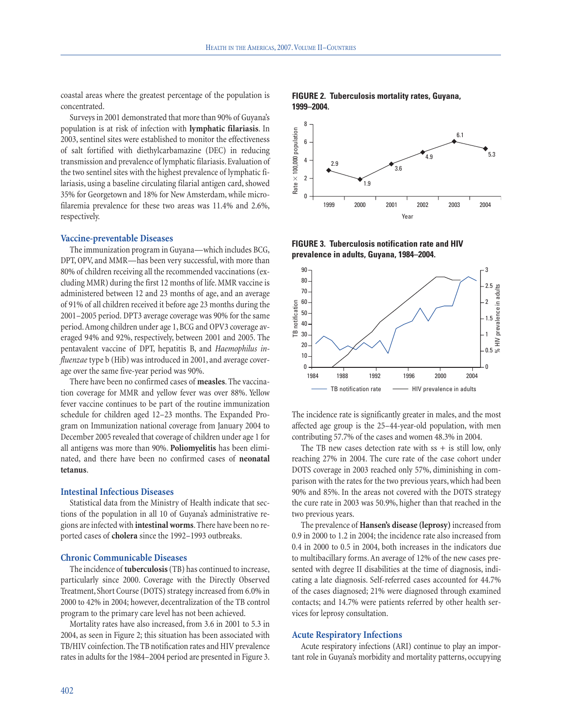coastal areas where the greatest percentage of the population is concentrated.

Surveys in 2001 demonstrated that more than 90% of Guyana's population is at risk of infection with **lymphatic filariasis**. In 2003, sentinel sites were established to monitor the effectiveness of salt fortified with diethylcarbamazine (DEC) in reducing transmission and prevalence of lymphatic filariasis. Evaluation of the two sentinel sites with the highest prevalence of lymphatic filariasis, using a baseline circulating filarial antigen card, showed 35% for Georgetown and 18% for New Amsterdam, while microfilaremia prevalence for these two areas was 11.4% and 2.6%, respectively.

#### **Vaccine-preventable Diseases**

The immunization program in Guyana—which includes BCG, DPT, OPV, and MMR—has been very successful, with more than 80% of children receiving all the recommended vaccinations (excluding MMR) during the first 12 months of life. MMR vaccine is administered between 12 and 23 months of age, and an average of 91% of all children received it before age 23 months during the 2001–2005 period. DPT3 average coverage was 90% for the same period.Among children under age 1, BCG and OPV3 coverage averaged 94% and 92%, respectively, between 2001 and 2005. The pentavalent vaccine of DPT, hepatitis B, and *Haemophilus influenzae* type b (Hib) was introduced in 2001, and average coverage over the same five-year period was 90%.

There have been no confirmed cases of **measles**. The vaccination coverage for MMR and yellow fever was over 88%. Yellow fever vaccine continues to be part of the routine immunization schedule for children aged 12–23 months. The Expanded Program on Immunization national coverage from January 2004 to December 2005 revealed that coverage of children under age 1 for all antigens was more than 90%. **Poliomyelitis** has been eliminated, and there have been no confirmed cases of **neonatal tetanus**.

### **Intestinal Infectious Diseases**

Statistical data from the Ministry of Health indicate that sections of the population in all 10 of Guyana's administrative regions are infected with **intestinal worms**. There have been no reported cases of **cholera** since the 1992–1993 outbreaks.

## **Chronic Communicable Diseases**

The incidence of **tuberculosis** (TB) has continued to increase, particularly since 2000. Coverage with the Directly Observed Treatment, Short Course (DOTS) strategy increased from 6.0% in 2000 to 42% in 2004; however, decentralization of the TB control program to the primary care level has not been achieved.

Mortality rates have also increased, from 3.6 in 2001 to 5.3 in 2004, as seen in Figure 2; this situation has been associated with TB/HIV coinfection.The TB notification rates and HIV prevalence rates in adults for the 1984–2004 period are presented in Figure 3.





**FIGURE 3. Tuberculosis notification rate and HIV prevalence in adults, Guyana, 1984–2004.**



The incidence rate is significantly greater in males, and the most affected age group is the 25–44-year-old population, with men contributing 57.7% of the cases and women 48.3% in 2004.

The TB new cases detection rate with  $ss + is$  still low, only reaching 27% in 2004. The cure rate of the case cohort under DOTS coverage in 2003 reached only 57%, diminishing in comparison with the rates for the two previous years, which had been 90% and 85%. In the areas not covered with the DOTS strategy the cure rate in 2003 was 50.9%, higher than that reached in the two previous years.

The prevalence of **Hansen's disease (leprosy)** increased from 0.9 in 2000 to 1.2 in 2004; the incidence rate also increased from 0.4 in 2000 to 0.5 in 2004, both increases in the indicators due to multibacillary forms. An average of 12% of the new cases presented with degree II disabilities at the time of diagnosis, indicating a late diagnosis. Self-referred cases accounted for 44.7% of the cases diagnosed; 21% were diagnosed through examined contacts; and 14.7% were patients referred by other health services for leprosy consultation.

## **Acute Respiratory Infections**

Acute respiratory infections (ARI) continue to play an important role in Guyana's morbidity and mortality patterns, occupying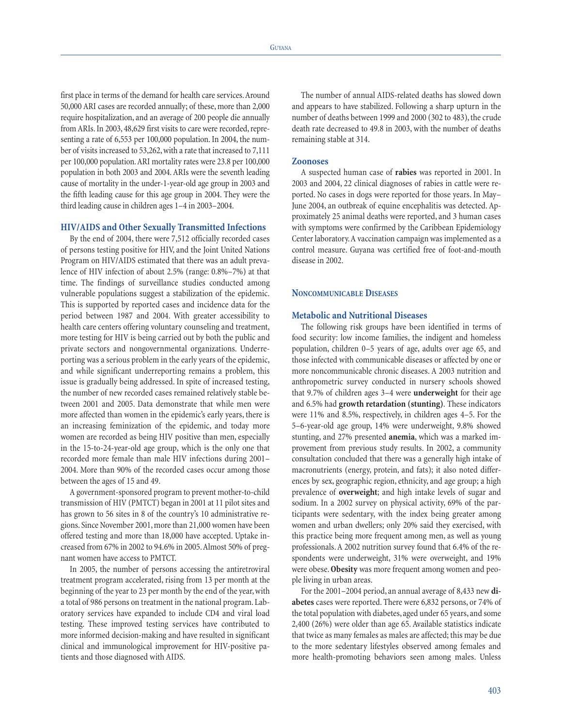first place in terms of the demand for health care services.Around 50,000 ARI cases are recorded annually; of these, more than 2,000 require hospitalization, and an average of 200 people die annually from ARIs. In 2003, 48,629 first visits to care were recorded, representing a rate of 6,553 per 100,000 population. In 2004, the number of visits increased to 53,262, with a rate that increased to 7,111 per 100,000 population.ARI mortality rates were 23.8 per 100,000 population in both 2003 and 2004. ARIs were the seventh leading cause of mortality in the under-1-year-old age group in 2003 and the fifth leading cause for this age group in 2004. They were the third leading cause in children ages 1–4 in 2003–2004.

#### **HIV/AIDS and Other Sexually Transmitted Infections**

By the end of 2004, there were 7,512 officially recorded cases of persons testing positive for HIV, and the Joint United Nations Program on HIV/AIDS estimated that there was an adult prevalence of HIV infection of about 2.5% (range: 0.8%–7%) at that time. The findings of surveillance studies conducted among vulnerable populations suggest a stabilization of the epidemic. This is supported by reported cases and incidence data for the period between 1987 and 2004. With greater accessibility to health care centers offering voluntary counseling and treatment, more testing for HIV is being carried out by both the public and private sectors and nongovernmental organizations. Underreporting was a serious problem in the early years of the epidemic, and while significant underreporting remains a problem, this issue is gradually being addressed. In spite of increased testing, the number of new recorded cases remained relatively stable between 2001 and 2005. Data demonstrate that while men were more affected than women in the epidemic's early years, there is an increasing feminization of the epidemic, and today more women are recorded as being HIV positive than men, especially in the 15-to-24-year-old age group, which is the only one that recorded more female than male HIV infections during 2001– 2004. More than 90% of the recorded cases occur among those between the ages of 15 and 49.

A government-sponsored program to prevent mother-to-child transmission of HIV (PMTCT) began in 2001 at 11 pilot sites and has grown to 56 sites in 8 of the country's 10 administrative regions. Since November 2001, more than 21,000 women have been offered testing and more than 18,000 have accepted. Uptake increased from 67% in 2002 to 94.6% in 2005.Almost 50% of pregnant women have access to PMTCT.

In 2005, the number of persons accessing the antiretroviral treatment program accelerated, rising from 13 per month at the beginning of the year to 23 per month by the end of the year, with a total of 986 persons on treatment in the national program. Laboratory services have expanded to include CD4 and viral load testing. These improved testing services have contributed to more informed decision-making and have resulted in significant clinical and immunological improvement for HIV-positive patients and those diagnosed with AIDS.

The number of annual AIDS-related deaths has slowed down and appears to have stabilized. Following a sharp upturn in the number of deaths between 1999 and 2000 (302 to 483), the crude death rate decreased to 49.8 in 2003, with the number of deaths remaining stable at 314.

#### **Zoonoses**

A suspected human case of **rabies** was reported in 2001. In 2003 and 2004, 22 clinical diagnoses of rabies in cattle were reported. No cases in dogs were reported for those years. In May– June 2004, an outbreak of equine encephalitis was detected. Approximately 25 animal deaths were reported, and 3 human cases with symptoms were confirmed by the Caribbean Epidemiology Center laboratory.A vaccination campaign was implemented as a control measure. Guyana was certified free of foot-and-mouth disease in 2002.

## **NONCOMMUNICABLE DISEASES**

## **Metabolic and Nutritional Diseases**

The following risk groups have been identified in terms of food security: low income families, the indigent and homeless population, children 0–5 years of age, adults over age 65, and those infected with communicable diseases or affected by one or more noncommunicable chronic diseases. A 2003 nutrition and anthropometric survey conducted in nursery schools showed that 9.7% of children ages 3–4 were **underweight** for their age and 6.5% had **growth retardation (stunting)**. These indicators were 11% and 8.5%, respectively, in children ages 4–5. For the 5–6-year-old age group, 14% were underweight, 9.8% showed stunting, and 27% presented **anemia**, which was a marked improvement from previous study results. In 2002, a community consultation concluded that there was a generally high intake of macronutrients (energy, protein, and fats); it also noted differences by sex, geographic region, ethnicity, and age group; a high prevalence of **overweight**; and high intake levels of sugar and sodium. In a 2002 survey on physical activity, 69% of the participants were sedentary, with the index being greater among women and urban dwellers; only 20% said they exercised, with this practice being more frequent among men, as well as young professionals. A 2002 nutrition survey found that 6.4% of the respondents were underweight, 31% were overweight, and 19% were obese.**Obesity** was more frequent among women and people living in urban areas.

For the 2001–2004 period, an annual average of 8,433 new **diabetes** cases were reported. There were 6,832 persons, or 74% of the total population with diabetes, aged under 65 years, and some 2,400 (26%) were older than age 65. Available statistics indicate that twice as many females as males are affected; this may be due to the more sedentary lifestyles observed among females and more health-promoting behaviors seen among males. Unless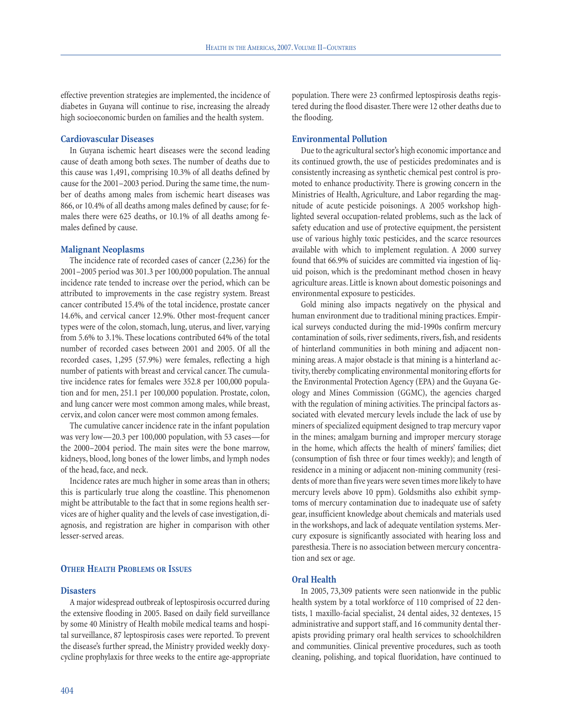effective prevention strategies are implemented, the incidence of diabetes in Guyana will continue to rise, increasing the already high socioeconomic burden on families and the health system.

### **Cardiovascular Diseases**

In Guyana ischemic heart diseases were the second leading cause of death among both sexes. The number of deaths due to this cause was 1,491, comprising 10.3% of all deaths defined by cause for the 2001–2003 period. During the same time, the number of deaths among males from ischemic heart diseases was 866, or 10.4% of all deaths among males defined by cause; for females there were 625 deaths, or 10.1% of all deaths among females defined by cause.

## **Malignant Neoplasms**

The incidence rate of recorded cases of cancer (2,236) for the 2001–2005 period was 301.3 per 100,000 population. The annual incidence rate tended to increase over the period, which can be attributed to improvements in the case registry system. Breast cancer contributed 15.4% of the total incidence, prostate cancer 14.6%, and cervical cancer 12.9%. Other most-frequent cancer types were of the colon, stomach, lung, uterus, and liver, varying from 5.6% to 3.1%. These locations contributed 64% of the total number of recorded cases between 2001 and 2005. Of all the recorded cases, 1,295 (57.9%) were females, reflecting a high number of patients with breast and cervical cancer. The cumulative incidence rates for females were 352.8 per 100,000 population and for men, 251.1 per 100,000 population. Prostate, colon, and lung cancer were most common among males, while breast, cervix, and colon cancer were most common among females.

The cumulative cancer incidence rate in the infant population was very low—20.3 per 100,000 population, with 53 cases—for the 2000–2004 period. The main sites were the bone marrow, kidneys, blood, long bones of the lower limbs, and lymph nodes of the head, face, and neck.

Incidence rates are much higher in some areas than in others; this is particularly true along the coastline. This phenomenon might be attributable to the fact that in some regions health services are of higher quality and the levels of case investigation, diagnosis, and registration are higher in comparison with other lesser-served areas.

#### **OTHER HEALTH PROBLEMS OR ISSUES**

### **Disasters**

A major widespread outbreak of leptospirosis occurred during the extensive flooding in 2005. Based on daily field surveillance by some 40 Ministry of Health mobile medical teams and hospital surveillance, 87 leptospirosis cases were reported. To prevent the disease's further spread, the Ministry provided weekly doxycycline prophylaxis for three weeks to the entire age-appropriate

population. There were 23 confirmed leptospirosis deaths registered during the flood disaster. There were 12 other deaths due to the flooding.

# **Environmental Pollution**

Due to the agricultural sector's high economic importance and its continued growth, the use of pesticides predominates and is consistently increasing as synthetic chemical pest control is promoted to enhance productivity. There is growing concern in the Ministries of Health, Agriculture, and Labor regarding the magnitude of acute pesticide poisonings. A 2005 workshop highlighted several occupation-related problems, such as the lack of safety education and use of protective equipment, the persistent use of various highly toxic pesticides, and the scarce resources available with which to implement regulation. A 2000 survey found that 66.9% of suicides are committed via ingestion of liquid poison, which is the predominant method chosen in heavy agriculture areas. Little is known about domestic poisonings and environmental exposure to pesticides.

Gold mining also impacts negatively on the physical and human environment due to traditional mining practices. Empirical surveys conducted during the mid-1990s confirm mercury contamination of soils, river sediments, rivers, fish, and residents of hinterland communities in both mining and adjacent nonmining areas. A major obstacle is that mining is a hinterland activity, thereby complicating environmental monitoring efforts for the Environmental Protection Agency (EPA) and the Guyana Geology and Mines Commission (GGMC), the agencies charged with the regulation of mining activities. The principal factors associated with elevated mercury levels include the lack of use by miners of specialized equipment designed to trap mercury vapor in the mines; amalgam burning and improper mercury storage in the home, which affects the health of miners' families; diet (consumption of fish three or four times weekly); and length of residence in a mining or adjacent non-mining community (residents of more than five years were seven times more likely to have mercury levels above 10 ppm). Goldsmiths also exhibit symptoms of mercury contamination due to inadequate use of safety gear, insufficient knowledge about chemicals and materials used in the workshops, and lack of adequate ventilation systems. Mercury exposure is significantly associated with hearing loss and paresthesia. There is no association between mercury concentration and sex or age.

# **Oral Health**

In 2005, 73,309 patients were seen nationwide in the public health system by a total workforce of 110 comprised of 22 dentists, 1 maxillo-facial specialist, 24 dental aides, 32 dentexes, 15 administrative and support staff, and 16 community dental therapists providing primary oral health services to schoolchildren and communities. Clinical preventive procedures, such as tooth cleaning, polishing, and topical fluoridation, have continued to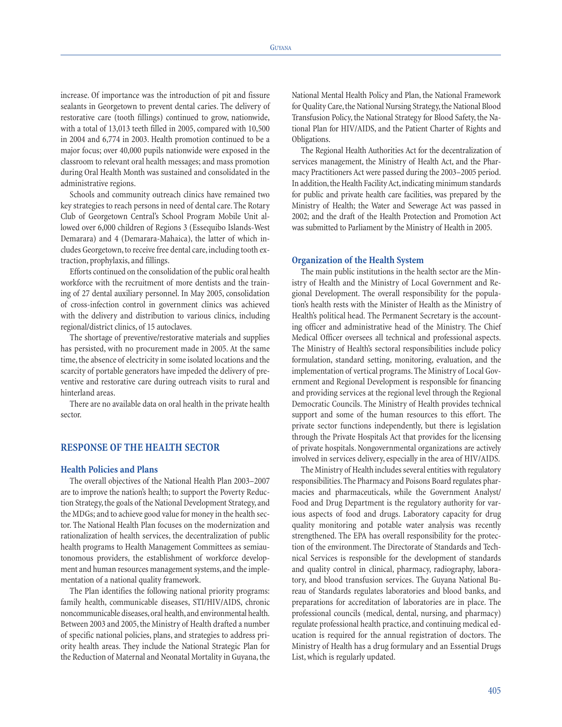increase. Of importance was the introduction of pit and fissure sealants in Georgetown to prevent dental caries. The delivery of restorative care (tooth fillings) continued to grow, nationwide, with a total of 13,013 teeth filled in 2005, compared with 10,500 in 2004 and 6,774 in 2003. Health promotion continued to be a major focus; over 40,000 pupils nationwide were exposed in the classroom to relevant oral health messages; and mass promotion during Oral Health Month was sustained and consolidated in the administrative regions.

Schools and community outreach clinics have remained two key strategies to reach persons in need of dental care. The Rotary Club of Georgetown Central's School Program Mobile Unit allowed over 6,000 children of Regions 3 (Essequibo Islands-West Demarara) and 4 (Demarara-Mahaica), the latter of which includes Georgetown, to receive free dental care, including tooth extraction, prophylaxis, and fillings.

Efforts continued on the consolidation of the public oral health workforce with the recruitment of more dentists and the training of 27 dental auxiliary personnel. In May 2005, consolidation of cross-infection control in government clinics was achieved with the delivery and distribution to various clinics, including regional/district clinics, of 15 autoclaves.

The shortage of preventive/restorative materials and supplies has persisted, with no procurement made in 2005. At the same time, the absence of electricity in some isolated locations and the scarcity of portable generators have impeded the delivery of preventive and restorative care during outreach visits to rural and hinterland areas.

There are no available data on oral health in the private health sector.

# **RESPONSE OF THE HEALTH SECTOR**

## **Health Policies and Plans**

The overall objectives of the National Health Plan 2003–2007 are to improve the nation's health; to support the Poverty Reduction Strategy, the goals of the National Development Strategy, and the MDGs; and to achieve good value for money in the health sector. The National Health Plan focuses on the modernization and rationalization of health services, the decentralization of public health programs to Health Management Committees as semiautonomous providers, the establishment of workforce development and human resources management systems, and the implementation of a national quality framework.

The Plan identifies the following national priority programs: family health, communicable diseases, STI/HIV/AIDS, chronic noncommunicable diseases, oral health, and environmental health. Between 2003 and 2005, the Ministry of Health drafted a number of specific national policies, plans, and strategies to address priority health areas. They include the National Strategic Plan for the Reduction of Maternal and Neonatal Mortality in Guyana, the National Mental Health Policy and Plan, the National Framework for Quality Care, the National Nursing Strategy, the National Blood Transfusion Policy, the National Strategy for Blood Safety, the National Plan for HIV/AIDS, and the Patient Charter of Rights and Obligations.

The Regional Health Authorities Act for the decentralization of services management, the Ministry of Health Act, and the Pharmacy Practitioners Act were passed during the 2003–2005 period. In addition, the Health Facility Act, indicating minimum standards for public and private health care facilities, was prepared by the Ministry of Health; the Water and Sewerage Act was passed in 2002; and the draft of the Health Protection and Promotion Act was submitted to Parliament by the Ministry of Health in 2005.

#### **Organization of the Health System**

The main public institutions in the health sector are the Ministry of Health and the Ministry of Local Government and Regional Development. The overall responsibility for the population's health rests with the Minister of Health as the Ministry of Health's political head. The Permanent Secretary is the accounting officer and administrative head of the Ministry. The Chief Medical Officer oversees all technical and professional aspects. The Ministry of Health's sectoral responsibilities include policy formulation, standard setting, monitoring, evaluation, and the implementation of vertical programs. The Ministry of Local Government and Regional Development is responsible for financing and providing services at the regional level through the Regional Democratic Councils. The Ministry of Health provides technical support and some of the human resources to this effort. The private sector functions independently, but there is legislation through the Private Hospitals Act that provides for the licensing of private hospitals. Nongovernmental organizations are actively involved in services delivery, especially in the area of HIV/AIDS.

The Ministry of Health includes several entities with regulatory responsibilities. The Pharmacy and Poisons Board regulates pharmacies and pharmaceuticals, while the Government Analyst/ Food and Drug Department is the regulatory authority for various aspects of food and drugs. Laboratory capacity for drug quality monitoring and potable water analysis was recently strengthened. The EPA has overall responsibility for the protection of the environment. The Directorate of Standards and Technical Services is responsible for the development of standards and quality control in clinical, pharmacy, radiography, laboratory, and blood transfusion services. The Guyana National Bureau of Standards regulates laboratories and blood banks, and preparations for accreditation of laboratories are in place. The professional councils (medical, dental, nursing, and pharmacy) regulate professional health practice, and continuing medical education is required for the annual registration of doctors. The Ministry of Health has a drug formulary and an Essential Drugs List, which is regularly updated.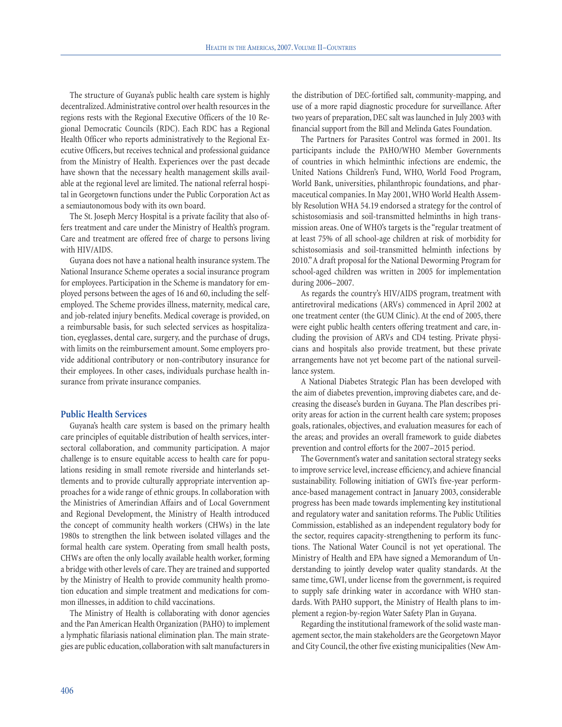The structure of Guyana's public health care system is highly decentralized.Administrative control over health resources in the regions rests with the Regional Executive Officers of the 10 Regional Democratic Councils (RDC). Each RDC has a Regional Health Officer who reports administratively to the Regional Executive Officers, but receives technical and professional guidance from the Ministry of Health. Experiences over the past decade have shown that the necessary health management skills available at the regional level are limited. The national referral hospital in Georgetown functions under the Public Corporation Act as a semiautonomous body with its own board.

The St. Joseph Mercy Hospital is a private facility that also offers treatment and care under the Ministry of Health's program. Care and treatment are offered free of charge to persons living with HIV/AIDS.

Guyana does not have a national health insurance system. The National Insurance Scheme operates a social insurance program for employees. Participation in the Scheme is mandatory for employed persons between the ages of 16 and 60, including the selfemployed. The Scheme provides illness, maternity, medical care, and job-related injury benefits. Medical coverage is provided, on a reimbursable basis, for such selected services as hospitalization, eyeglasses, dental care, surgery, and the purchase of drugs, with limits on the reimbursement amount. Some employers provide additional contributory or non-contributory insurance for their employees. In other cases, individuals purchase health insurance from private insurance companies.

## **Public Health Services**

Guyana's health care system is based on the primary health care principles of equitable distribution of health services, intersectoral collaboration, and community participation. A major challenge is to ensure equitable access to health care for populations residing in small remote riverside and hinterlands settlements and to provide culturally appropriate intervention approaches for a wide range of ethnic groups. In collaboration with the Ministries of Amerindian Affairs and of Local Government and Regional Development, the Ministry of Health introduced the concept of community health workers (CHWs) in the late 1980s to strengthen the link between isolated villages and the formal health care system. Operating from small health posts, CHWs are often the only locally available health worker, forming a bridge with other levels of care. They are trained and supported by the Ministry of Health to provide community health promotion education and simple treatment and medications for common illnesses, in addition to child vaccinations.

The Ministry of Health is collaborating with donor agencies and the Pan American Health Organization (PAHO) to implement a lymphatic filariasis national elimination plan. The main strategies are public education, collaboration with salt manufacturers in the distribution of DEC-fortified salt, community-mapping, and use of a more rapid diagnostic procedure for surveillance. After two years of preparation, DEC salt was launched in July 2003 with financial support from the Bill and Melinda Gates Foundation.

The Partners for Parasites Control was formed in 2001. Its participants include the PAHO/WHO Member Governments of countries in which helminthic infections are endemic, the United Nations Children's Fund, WHO, World Food Program, World Bank, universities, philanthropic foundations, and pharmaceutical companies. In May 2001, WHO World Health Assembly Resolution WHA 54.19 endorsed a strategy for the control of schistosomiasis and soil-transmitted helminths in high transmission areas. One of WHO's targets is the "regular treatment of at least 75% of all school-age children at risk of morbidity for schistosomiasis and soil-transmitted helminth infections by 2010."A draft proposal for the National Deworming Program for school-aged children was written in 2005 for implementation during 2006–2007.

As regards the country's HIV/AIDS program, treatment with antiretroviral medications (ARVs) commenced in April 2002 at one treatment center (the GUM Clinic). At the end of 2005, there were eight public health centers offering treatment and care, including the provision of ARVs and CD4 testing. Private physicians and hospitals also provide treatment, but these private arrangements have not yet become part of the national surveillance system.

A National Diabetes Strategic Plan has been developed with the aim of diabetes prevention, improving diabetes care, and decreasing the disease's burden in Guyana. The Plan describes priority areas for action in the current health care system; proposes goals, rationales, objectives, and evaluation measures for each of the areas; and provides an overall framework to guide diabetes prevention and control efforts for the 2007–2015 period.

The Government's water and sanitation sectoral strategy seeks to improve service level, increase efficiency, and achieve financial sustainability. Following initiation of GWI's five-year performance-based management contract in January 2003, considerable progress has been made towards implementing key institutional and regulatory water and sanitation reforms. The Public Utilities Commission, established as an independent regulatory body for the sector, requires capacity-strengthening to perform its functions. The National Water Council is not yet operational. The Ministry of Health and EPA have signed a Memorandum of Understanding to jointly develop water quality standards. At the same time, GWI, under license from the government, is required to supply safe drinking water in accordance with WHO standards. With PAHO support, the Ministry of Health plans to implement a region-by-region Water Safety Plan in Guyana.

Regarding the institutional framework of the solid waste management sector, the main stakeholders are the Georgetown Mayor and City Council, the other five existing municipalities (New Am-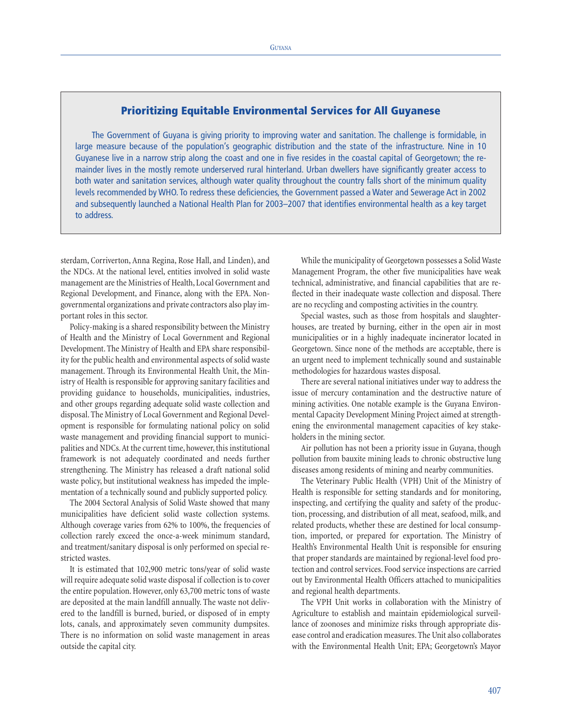# **Prioritizing Equitable Environmental Services for All Guyanese**

The Government of Guyana is giving priority to improving water and sanitation. The challenge is formidable, in large measure because of the population's geographic distribution and the state of the infrastructure. Nine in 10 Guyanese live in a narrow strip along the coast and one in five resides in the coastal capital of Georgetown; the remainder lives in the mostly remote underserved rural hinterland. Urban dwellers have significantly greater access to both water and sanitation services, although water quality throughout the country falls short of the minimum quality levels recommended by WHO. To redress these deficiencies, the Government passed a Water and Sewerage Act in 2002 and subsequently launched a National Health Plan for 2003–2007 that identifies environmental health as a key target to address.

sterdam, Corriverton, Anna Regina, Rose Hall, and Linden), and the NDCs. At the national level, entities involved in solid waste management are the Ministries of Health, Local Government and Regional Development, and Finance, along with the EPA. Nongovernmental organizations and private contractors also play important roles in this sector.

Policy-making is a shared responsibility between the Ministry of Health and the Ministry of Local Government and Regional Development. The Ministry of Health and EPA share responsibility for the public health and environmental aspects of solid waste management. Through its Environmental Health Unit, the Ministry of Health is responsible for approving sanitary facilities and providing guidance to households, municipalities, industries, and other groups regarding adequate solid waste collection and disposal. The Ministry of Local Government and Regional Development is responsible for formulating national policy on solid waste management and providing financial support to municipalities and NDCs.At the current time, however, this institutional framework is not adequately coordinated and needs further strengthening. The Ministry has released a draft national solid waste policy, but institutional weakness has impeded the implementation of a technically sound and publicly supported policy.

The 2004 Sectoral Analysis of Solid Waste showed that many municipalities have deficient solid waste collection systems. Although coverage varies from 62% to 100%, the frequencies of collection rarely exceed the once-a-week minimum standard, and treatment/sanitary disposal is only performed on special restricted wastes.

It is estimated that 102,900 metric tons/year of solid waste will require adequate solid waste disposal if collection is to cover the entire population. However, only 63,700 metric tons of waste are deposited at the main landfill annually. The waste not delivered to the landfill is burned, buried, or disposed of in empty lots, canals, and approximately seven community dumpsites. There is no information on solid waste management in areas outside the capital city.

While the municipality of Georgetown possesses a Solid Waste Management Program, the other five municipalities have weak technical, administrative, and financial capabilities that are reflected in their inadequate waste collection and disposal. There are no recycling and composting activities in the country.

Special wastes, such as those from hospitals and slaughterhouses, are treated by burning, either in the open air in most municipalities or in a highly inadequate incinerator located in Georgetown. Since none of the methods are acceptable, there is an urgent need to implement technically sound and sustainable methodologies for hazardous wastes disposal.

There are several national initiatives under way to address the issue of mercury contamination and the destructive nature of mining activities. One notable example is the Guyana Environmental Capacity Development Mining Project aimed at strengthening the environmental management capacities of key stakeholders in the mining sector.

Air pollution has not been a priority issue in Guyana, though pollution from bauxite mining leads to chronic obstructive lung diseases among residents of mining and nearby communities.

The Veterinary Public Health (VPH) Unit of the Ministry of Health is responsible for setting standards and for monitoring, inspecting, and certifying the quality and safety of the production, processing, and distribution of all meat, seafood, milk, and related products, whether these are destined for local consumption, imported, or prepared for exportation. The Ministry of Health's Environmental Health Unit is responsible for ensuring that proper standards are maintained by regional-level food protection and control services. Food service inspections are carried out by Environmental Health Officers attached to municipalities and regional health departments.

The VPH Unit works in collaboration with the Ministry of Agriculture to establish and maintain epidemiological surveillance of zoonoses and minimize risks through appropriate disease control and eradication measures. The Unit also collaborates with the Environmental Health Unit; EPA; Georgetown's Mayor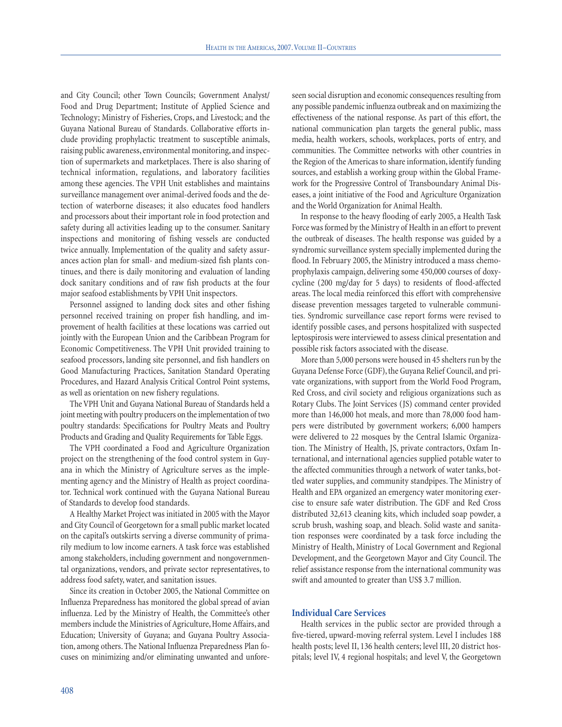and City Council; other Town Councils; Government Analyst/ Food and Drug Department; Institute of Applied Science and Technology; Ministry of Fisheries, Crops, and Livestock; and the Guyana National Bureau of Standards. Collaborative efforts include providing prophylactic treatment to susceptible animals, raising public awareness, environmental monitoring, and inspection of supermarkets and marketplaces. There is also sharing of technical information, regulations, and laboratory facilities among these agencies. The VPH Unit establishes and maintains surveillance management over animal-derived foods and the detection of waterborne diseases; it also educates food handlers and processors about their important role in food protection and safety during all activities leading up to the consumer. Sanitary inspections and monitoring of fishing vessels are conducted twice annually. Implementation of the quality and safety assurances action plan for small- and medium-sized fish plants continues, and there is daily monitoring and evaluation of landing dock sanitary conditions and of raw fish products at the four major seafood establishments by VPH Unit inspectors.

Personnel assigned to landing dock sites and other fishing personnel received training on proper fish handling, and improvement of health facilities at these locations was carried out jointly with the European Union and the Caribbean Program for Economic Competitiveness. The VPH Unit provided training to seafood processors, landing site personnel, and fish handlers on Good Manufacturing Practices, Sanitation Standard Operating Procedures, and Hazard Analysis Critical Control Point systems, as well as orientation on new fishery regulations.

The VPH Unit and Guyana National Bureau of Standards held a joint meeting with poultry producers on the implementation of two poultry standards: Specifications for Poultry Meats and Poultry Products and Grading and Quality Requirements for Table Eggs.

The VPH coordinated a Food and Agriculture Organization project on the strengthening of the food control system in Guyana in which the Ministry of Agriculture serves as the implementing agency and the Ministry of Health as project coordinator. Technical work continued with the Guyana National Bureau of Standards to develop food standards.

A Healthy Market Project was initiated in 2005 with the Mayor and City Council of Georgetown for a small public market located on the capital's outskirts serving a diverse community of primarily medium to low income earners. A task force was established among stakeholders, including government and nongovernmental organizations, vendors, and private sector representatives, to address food safety, water, and sanitation issues.

Since its creation in October 2005, the National Committee on Influenza Preparedness has monitored the global spread of avian influenza. Led by the Ministry of Health, the Committee's other members include the Ministries of Agriculture, Home Affairs, and Education; University of Guyana; and Guyana Poultry Association, among others. The National Influenza Preparedness Plan focuses on minimizing and/or eliminating unwanted and unforeseen social disruption and economic consequences resulting from any possible pandemic influenza outbreak and on maximizing the effectiveness of the national response. As part of this effort, the national communication plan targets the general public, mass media, health workers, schools, workplaces, ports of entry, and communities. The Committee networks with other countries in the Region of the Americas to share information, identify funding sources, and establish a working group within the Global Framework for the Progressive Control of Transboundary Animal Diseases, a joint initiative of the Food and Agriculture Organization and the World Organization for Animal Health.

In response to the heavy flooding of early 2005, a Health Task Force was formed by the Ministry of Health in an effort to prevent the outbreak of diseases. The health response was guided by a syndromic surveillance system specially implemented during the flood. In February 2005, the Ministry introduced a mass chemoprophylaxis campaign, delivering some 450,000 courses of doxycycline (200 mg/day for 5 days) to residents of flood-affected areas. The local media reinforced this effort with comprehensive disease prevention messages targeted to vulnerable communities. Syndromic surveillance case report forms were revised to identify possible cases, and persons hospitalized with suspected leptospirosis were interviewed to assess clinical presentation and possible risk factors associated with the disease.

More than 5,000 persons were housed in 45 shelters run by the Guyana Defense Force (GDF), the Guyana Relief Council, and private organizations, with support from the World Food Program, Red Cross, and civil society and religious organizations such as Rotary Clubs. The Joint Services (JS) command center provided more than 146,000 hot meals, and more than 78,000 food hampers were distributed by government workers; 6,000 hampers were delivered to 22 mosques by the Central Islamic Organization. The Ministry of Health, JS, private contractors, Oxfam International, and international agencies supplied potable water to the affected communities through a network of water tanks, bottled water supplies, and community standpipes. The Ministry of Health and EPA organized an emergency water monitoring exercise to ensure safe water distribution. The GDF and Red Cross distributed 32,613 cleaning kits, which included soap powder, a scrub brush, washing soap, and bleach. Solid waste and sanitation responses were coordinated by a task force including the Ministry of Health, Ministry of Local Government and Regional Development, and the Georgetown Mayor and City Council. The relief assistance response from the international community was swift and amounted to greater than US\$ 3.7 million.

### **Individual Care Services**

Health services in the public sector are provided through a five-tiered, upward-moving referral system. Level I includes 188 health posts; level II, 136 health centers; level III, 20 district hospitals; level IV, 4 regional hospitals; and level V, the Georgetown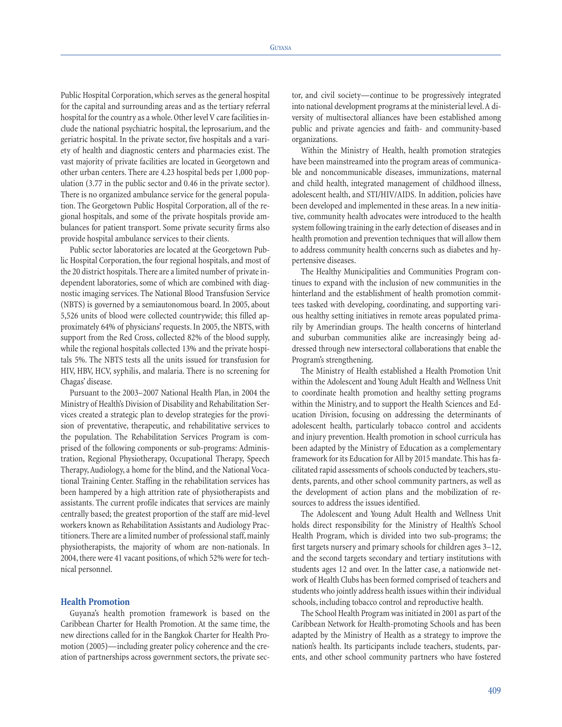Public Hospital Corporation, which serves as the general hospital for the capital and surrounding areas and as the tertiary referral hospital for the country as a whole. Other level V care facilities include the national psychiatric hospital, the leprosarium, and the geriatric hospital. In the private sector, five hospitals and a variety of health and diagnostic centers and pharmacies exist. The vast majority of private facilities are located in Georgetown and other urban centers. There are 4.23 hospital beds per 1,000 population (3.77 in the public sector and 0.46 in the private sector). There is no organized ambulance service for the general population. The Georgetown Public Hospital Corporation, all of the regional hospitals, and some of the private hospitals provide ambulances for patient transport. Some private security firms also provide hospital ambulance services to their clients.

Public sector laboratories are located at the Georgetown Public Hospital Corporation, the four regional hospitals, and most of the 20 district hospitals. There are a limited number of private independent laboratories, some of which are combined with diagnostic imaging services. The National Blood Transfusion Service (NBTS) is governed by a semiautonomous board. In 2005, about 5,526 units of blood were collected countrywide; this filled approximately 64% of physicians' requests. In 2005, the NBTS, with support from the Red Cross, collected 82% of the blood supply, while the regional hospitals collected 13% and the private hospitals 5%. The NBTS tests all the units issued for transfusion for HIV, HBV, HCV, syphilis, and malaria. There is no screening for Chagas' disease.

Pursuant to the 2003–2007 National Health Plan, in 2004 the Ministry of Health's Division of Disability and Rehabilitation Services created a strategic plan to develop strategies for the provision of preventative, therapeutic, and rehabilitative services to the population. The Rehabilitation Services Program is comprised of the following components or sub-programs: Administration, Regional Physiotherapy, Occupational Therapy, Speech Therapy, Audiology, a home for the blind, and the National Vocational Training Center. Staffing in the rehabilitation services has been hampered by a high attrition rate of physiotherapists and assistants. The current profile indicates that services are mainly centrally based; the greatest proportion of the staff are mid-level workers known as Rehabilitation Assistants and Audiology Practitioners. There are a limited number of professional staff, mainly physiotherapists, the majority of whom are non-nationals. In 2004, there were 41 vacant positions, of which 52% were for technical personnel.

## **Health Promotion**

Guyana's health promotion framework is based on the Caribbean Charter for Health Promotion. At the same time, the new directions called for in the Bangkok Charter for Health Promotion (2005)—including greater policy coherence and the creation of partnerships across government sectors, the private sec-

tor, and civil society—continue to be progressively integrated into national development programs at the ministerial level.A diversity of multisectoral alliances have been established among public and private agencies and faith- and community-based organizations.

Within the Ministry of Health, health promotion strategies have been mainstreamed into the program areas of communicable and noncommunicable diseases, immunizations, maternal and child health, integrated management of childhood illness, adolescent health, and STI/HIV/AIDS. In addition, policies have been developed and implemented in these areas. In a new initiative, community health advocates were introduced to the health system following training in the early detection of diseases and in health promotion and prevention techniques that will allow them to address community health concerns such as diabetes and hypertensive diseases.

The Healthy Municipalities and Communities Program continues to expand with the inclusion of new communities in the hinterland and the establishment of health promotion committees tasked with developing, coordinating, and supporting various healthy setting initiatives in remote areas populated primarily by Amerindian groups. The health concerns of hinterland and suburban communities alike are increasingly being addressed through new intersectoral collaborations that enable the Program's strengthening.

The Ministry of Health established a Health Promotion Unit within the Adolescent and Young Adult Health and Wellness Unit to coordinate health promotion and healthy setting programs within the Ministry, and to support the Health Sciences and Education Division, focusing on addressing the determinants of adolescent health, particularly tobacco control and accidents and injury prevention. Health promotion in school curricula has been adapted by the Ministry of Education as a complementary framework for its Education for All by 2015 mandate. This has facilitated rapid assessments of schools conducted by teachers, students, parents, and other school community partners, as well as the development of action plans and the mobilization of resources to address the issues identified.

The Adolescent and Young Adult Health and Wellness Unit holds direct responsibility for the Ministry of Health's School Health Program, which is divided into two sub-programs; the first targets nursery and primary schools for children ages 3–12, and the second targets secondary and tertiary institutions with students ages 12 and over. In the latter case, a nationwide network of Health Clubs has been formed comprised of teachers and students who jointly address health issues within their individual schools, including tobacco control and reproductive health.

The School Health Program was initiated in 2001 as part of the Caribbean Network for Health-promoting Schools and has been adapted by the Ministry of Health as a strategy to improve the nation's health. Its participants include teachers, students, parents, and other school community partners who have fostered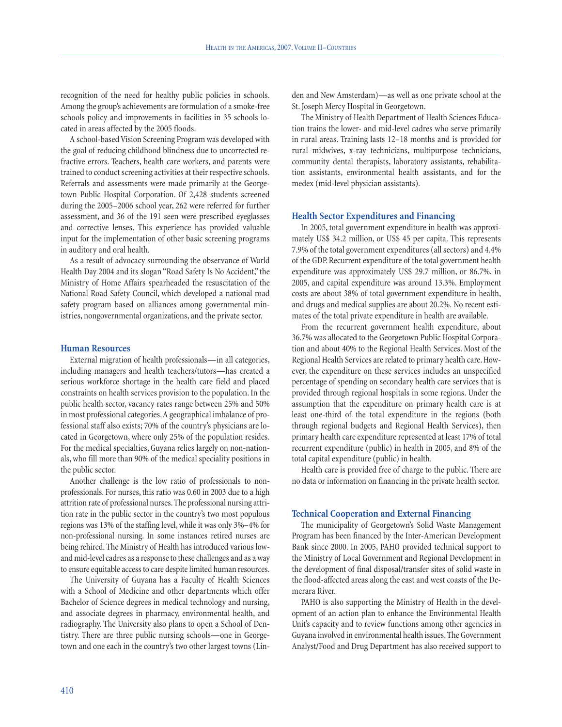recognition of the need for healthy public policies in schools. Among the group's achievements are formulation of a smoke-free schools policy and improvements in facilities in 35 schools located in areas affected by the 2005 floods.

A school-based Vision Screening Program was developed with the goal of reducing childhood blindness due to uncorrected refractive errors. Teachers, health care workers, and parents were trained to conduct screening activities at their respective schools. Referrals and assessments were made primarily at the Georgetown Public Hospital Corporation. Of 2,428 students screened during the 2005–2006 school year, 262 were referred for further assessment, and 36 of the 191 seen were prescribed eyeglasses and corrective lenses. This experience has provided valuable input for the implementation of other basic screening programs in auditory and oral health.

As a result of advocacy surrounding the observance of World Health Day 2004 and its slogan "Road Safety Is No Accident," the Ministry of Home Affairs spearheaded the resuscitation of the National Road Safety Council, which developed a national road safety program based on alliances among governmental ministries, nongovernmental organizations, and the private sector.

#### **Human Resources**

External migration of health professionals—in all categories, including managers and health teachers/tutors—has created a serious workforce shortage in the health care field and placed constraints on health services provision to the population. In the public health sector, vacancy rates range between 25% and 50% in most professional categories.A geographical imbalance of professional staff also exists; 70% of the country's physicians are located in Georgetown, where only 25% of the population resides. For the medical specialties, Guyana relies largely on non-nationals, who fill more than 90% of the medical speciality positions in the public sector.

Another challenge is the low ratio of professionals to nonprofessionals. For nurses, this ratio was 0.60 in 2003 due to a high attrition rate of professional nurses. The professional nursing attrition rate in the public sector in the country's two most populous regions was 13% of the staffing level, while it was only 3%–4% for non-professional nursing. In some instances retired nurses are being rehired. The Ministry of Health has introduced various lowand mid-level cadres as a response to these challenges and as a way to ensure equitable access to care despite limited human resources.

The University of Guyana has a Faculty of Health Sciences with a School of Medicine and other departments which offer Bachelor of Science degrees in medical technology and nursing, and associate degrees in pharmacy, environmental health, and radiography. The University also plans to open a School of Dentistry. There are three public nursing schools—one in Georgetown and one each in the country's two other largest towns (Linden and New Amsterdam)—as well as one private school at the St. Joseph Mercy Hospital in Georgetown.

The Ministry of Health Department of Health Sciences Education trains the lower- and mid-level cadres who serve primarily in rural areas. Training lasts 12–18 months and is provided for rural midwives, x-ray technicians, multipurpose technicians, community dental therapists, laboratory assistants, rehabilitation assistants, environmental health assistants, and for the medex (mid-level physician assistants).

## **Health Sector Expenditures and Financing**

In 2005, total government expenditure in health was approximately US\$ 34.2 million, or US\$ 45 per capita. This represents 7.9% of the total government expenditures (all sectors) and 4.4% of the GDP. Recurrent expenditure of the total government health expenditure was approximately US\$ 29.7 million, or 86.7%, in 2005, and capital expenditure was around 13.3%. Employment costs are about 38% of total government expenditure in health, and drugs and medical supplies are about 20.2%. No recent estimates of the total private expenditure in health are available.

From the recurrent government health expenditure, about 36.7% was allocated to the Georgetown Public Hospital Corporation and about 40% to the Regional Health Services. Most of the Regional Health Services are related to primary health care. However, the expenditure on these services includes an unspecified percentage of spending on secondary health care services that is provided through regional hospitals in some regions. Under the assumption that the expenditure on primary health care is at least one-third of the total expenditure in the regions (both through regional budgets and Regional Health Services), then primary health care expenditure represented at least 17% of total recurrent expenditure (public) in health in 2005, and 8% of the total capital expenditure (public) in health.

Health care is provided free of charge to the public. There are no data or information on financing in the private health sector.

## **Technical Cooperation and External Financing**

The municipality of Georgetown's Solid Waste Management Program has been financed by the Inter-American Development Bank since 2000. In 2005, PAHO provided technical support to the Ministry of Local Government and Regional Development in the development of final disposal/transfer sites of solid waste in the flood-affected areas along the east and west coasts of the Demerara River.

PAHO is also supporting the Ministry of Health in the development of an action plan to enhance the Environmental Health Unit's capacity and to review functions among other agencies in Guyana involved in environmental health issues. The Government Analyst/Food and Drug Department has also received support to